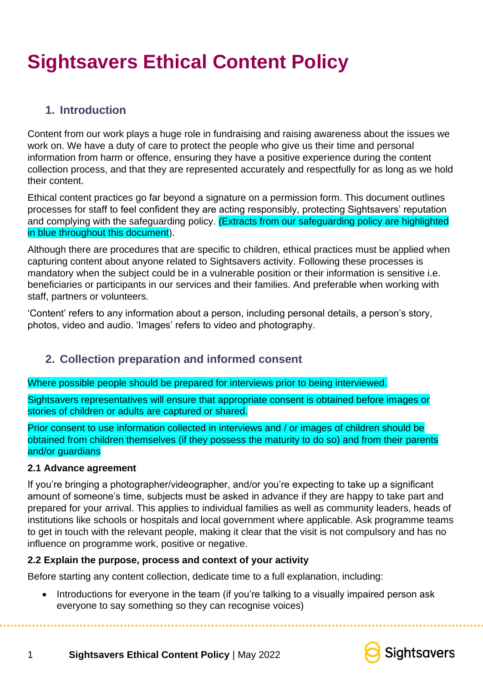# **Sightsavers Ethical Content Policy**

# **1. Introduction**

Content from our work plays a huge role in fundraising and raising awareness about the issues we work on. We have a duty of care to protect the people who give us their time and personal information from harm or offence, ensuring they have a positive experience during the content collection process, and that they are represented accurately and respectfully for as long as we hold their content.

Ethical content practices go far beyond a signature on a permission form. This document outlines processes for staff to feel confident they are acting responsibly, protecting Sightsavers' reputation and complying with the safeguarding policy. (Extracts from our safeguarding policy are highlighted in blue throughout this document).

Although there are procedures that are specific to children, ethical practices must be applied when capturing content about anyone related to Sightsavers activity. Following these processes is mandatory when the subject could be in a vulnerable position or their information is sensitive i.e. beneficiaries or participants in our services and their families. And preferable when working with staff, partners or volunteers.

'Content' refers to any information about a person, including personal details, a person's story, photos, video and audio. 'Images' refers to video and photography.

# **2. Collection preparation and informed consent**

Where possible people should be prepared for interviews prior to being interviewed.

Sightsavers representatives will ensure that appropriate consent is obtained before images or stories of children or adults are captured or shared.

Prior consent to use information collected in interviews and / or images of children should be obtained from children themselves (if they possess the maturity to do so) and from their parents and/or guardians

# **2.1 Advance agreement**

If you're bringing a photographer/videographer, and/or you're expecting to take up a significant amount of someone's time, subjects must be asked in advance if they are happy to take part and prepared for your arrival. This applies to individual families as well as community leaders, heads of institutions like schools or hospitals and local government where applicable. Ask programme teams to get in touch with the relevant people, making it clear that the visit is not compulsory and has no influence on programme work, positive or negative.

# **2.2 Explain the purpose, process and context of your activity**

Before starting any content collection, dedicate time to a full explanation, including:

• Introductions for everyone in the team (if you're talking to a visually impaired person ask everyone to say something so they can recognise voices)



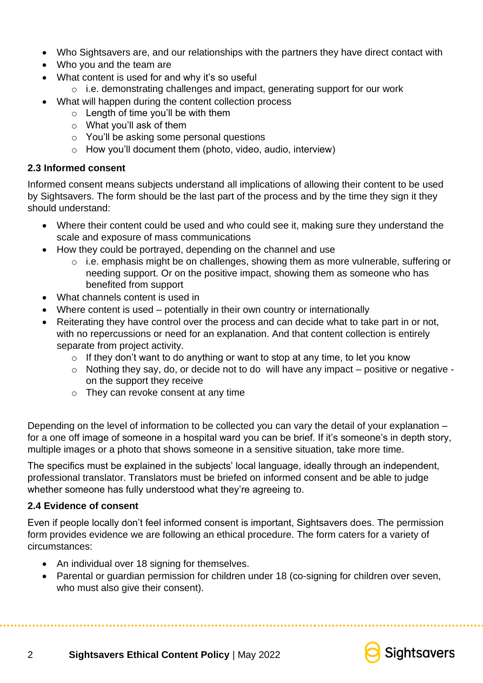- Who Sightsavers are, and our relationships with the partners they have direct contact with
- Who you and the team are
- What content is used for and why it's so useful
	- o i.e. demonstrating challenges and impact, generating support for our work
- What will happen during the content collection process
	- $\circ$  Length of time you'll be with them
	- o What you'll ask of them
	- o You'll be asking some personal questions
	- o How you'll document them (photo, video, audio, interview)

# **2.3 Informed consent**

Informed consent means subjects understand all implications of allowing their content to be used by Sightsavers. The form should be the last part of the process and by the time they sign it they should understand:

- Where their content could be used and who could see it, making sure they understand the scale and exposure of mass communications
- How they could be portrayed, depending on the channel and use
	- o i.e. emphasis might be on challenges, showing them as more vulnerable, suffering or needing support. Or on the positive impact, showing them as someone who has benefited from support
- What channels content is used in
- Where content is used potentially in their own country or internationally
- Reiterating they have control over the process and can decide what to take part in or not, with no repercussions or need for an explanation. And that content collection is entirely separate from project activity.
	- $\circ$  If they don't want to do anything or want to stop at any time, to let you know
	- o Nothing they say, do, or decide not to do will have any impact positive or negative on the support they receive
	- o They can revoke consent at any time

Depending on the level of information to be collected you can vary the detail of your explanation – for a one off image of someone in a hospital ward you can be brief. If it's someone's in depth story, multiple images or a photo that shows someone in a sensitive situation, take more time.

The specifics must be explained in the subjects' local language, ideally through an independent, professional translator. Translators must be briefed on informed consent and be able to judge whether someone has fully understood what they're agreeing to.

# **2.4 Evidence of consent**

Even if people locally don't feel informed consent is important, Sightsavers does. The permission form provides evidence we are following an ethical procedure. The form caters for a variety of circumstances:

- An individual over 18 signing for themselves.
- Parental or guardian permission for children under 18 (co-signing for children over seven, who must also give their consent).



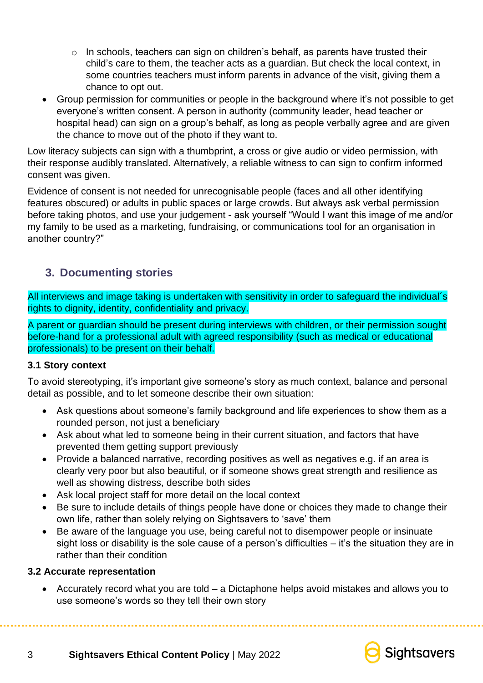- $\circ$  In schools, teachers can sign on children's behalf, as parents have trusted their child's care to them, the teacher acts as a guardian. But check the local context, in some countries teachers must inform parents in advance of the visit, giving them a chance to opt out.
- Group permission for communities or people in the background where it's not possible to get everyone's written consent. A person in authority (community leader, head teacher or hospital head) can sign on a group's behalf, as long as people verbally agree and are given the chance to move out of the photo if they want to.

Low literacy subjects can sign with a thumbprint, a cross or give audio or video permission, with their response audibly translated. Alternatively, a reliable witness to can sign to confirm informed consent was given.

Evidence of consent is not needed for unrecognisable people (faces and all other identifying features obscured) or adults in public spaces or large crowds. But always ask verbal permission before taking photos, and use your judgement - ask yourself "Would I want this image of me and/or my family to be used as a marketing, fundraising, or communications tool for an organisation in another country?"

# **3. Documenting stories**

All interviews and image taking is undertaken with sensitivity in order to safeguard the individual´s rights to dignity, identity, confidentiality and privacy.

A parent or guardian should be present during interviews with children, or their permission sought before-hand for a professional adult with agreed responsibility (such as medical or educational professionals) to be present on their behalf.

# **3.1 Story context**

To avoid stereotyping, it's important give someone's story as much context, balance and personal detail as possible, and to let someone describe their own situation:

- Ask questions about someone's family background and life experiences to show them as a rounded person, not just a beneficiary
- Ask about what led to someone being in their current situation, and factors that have prevented them getting support previously
- Provide a balanced narrative, recording positives as well as negatives e.g. if an area is clearly very poor but also beautiful, or if someone shows great strength and resilience as well as showing distress, describe both sides
- Ask local project staff for more detail on the local context
- Be sure to include details of things people have done or choices they made to change their own life, rather than solely relying on Sightsavers to 'save' them
- Be aware of the language you use, being careful not to disempower people or insinuate sight loss or disability is the sole cause of a person's difficulties – it's the situation they are in rather than their condition

# **3.2 Accurate representation**

• Accurately record what you are told – a Dictaphone helps avoid mistakes and allows you to use someone's words so they tell their own story

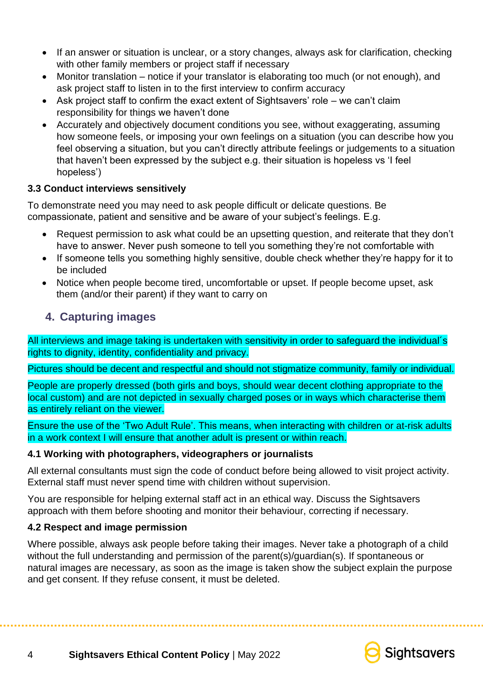- If an answer or situation is unclear, or a story changes, always ask for clarification, checking with other family members or project staff if necessary
- Monitor translation notice if your translator is elaborating too much (or not enough), and ask project staff to listen in to the first interview to confirm accuracy
- Ask project staff to confirm the exact extent of Sightsavers' role we can't claim responsibility for things we haven't done
- Accurately and objectively document conditions you see, without exaggerating, assuming how someone feels, or imposing your own feelings on a situation (you can describe how you feel observing a situation, but you can't directly attribute feelings or judgements to a situation that haven't been expressed by the subject e.g. their situation is hopeless vs 'I feel hopeless')

# **3.3 Conduct interviews sensitively**

To demonstrate need you may need to ask people difficult or delicate questions. Be compassionate, patient and sensitive and be aware of your subject's feelings. E.g.

- Request permission to ask what could be an upsetting question, and reiterate that they don't have to answer. Never push someone to tell you something they're not comfortable with
- If someone tells you something highly sensitive, double check whether they're happy for it to be included
- Notice when people become tired, uncomfortable or upset. If people become upset, ask them (and/or their parent) if they want to carry on

# **4. Capturing images**

All interviews and image taking is undertaken with sensitivity in order to safeguard the individual´s rights to dignity, identity, confidentiality and privacy.

Pictures should be decent and respectful and should not stigmatize community, family or individual.

People are properly dressed (both girls and boys, should wear decent clothing appropriate to the local custom) and are not depicted in sexually charged poses or in ways which characterise them as entirely reliant on the viewer.

Ensure the use of the 'Two Adult Rule'. This means, when interacting with children or at-risk adults in a work context I will ensure that another adult is present or within reach.

# **4.1 Working with photographers, videographers or journalists**

All external consultants must sign the code of conduct before being allowed to visit project activity. External staff must never spend time with children without supervision.

You are responsible for helping external staff act in an ethical way. Discuss the Sightsavers approach with them before shooting and monitor their behaviour, correcting if necessary.

# **4.2 Respect and image permission**

Where possible, always ask people before taking their images. Never take a photograph of a child without the full understanding and permission of the parent(s)/guardian(s). If spontaneous or natural images are necessary, as soon as the image is taken show the subject explain the purpose and get consent. If they refuse consent, it must be deleted.

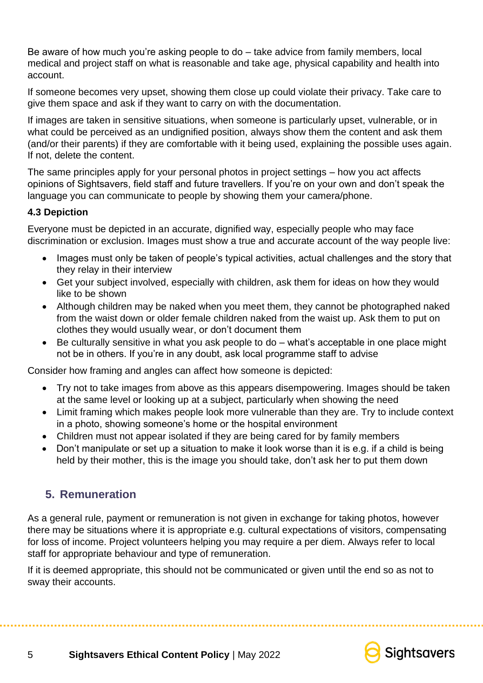Be aware of how much you're asking people to do – take advice from family members, local medical and project staff on what is reasonable and take age, physical capability and health into account.

If someone becomes very upset, showing them close up could violate their privacy. Take care to give them space and ask if they want to carry on with the documentation.

If images are taken in sensitive situations, when someone is particularly upset, vulnerable, or in what could be perceived as an undignified position, always show them the content and ask them (and/or their parents) if they are comfortable with it being used, explaining the possible uses again. If not, delete the content.

The same principles apply for your personal photos in project settings – how you act affects opinions of Sightsavers, field staff and future travellers. If you're on your own and don't speak the language you can communicate to people by showing them your camera/phone.

# **4.3 Depiction**

Everyone must be depicted in an accurate, dignified way, especially people who may face discrimination or exclusion. Images must show a true and accurate account of the way people live:

- Images must only be taken of people's typical activities, actual challenges and the story that they relay in their interview
- Get your subject involved, especially with children, ask them for ideas on how they would like to be shown
- Although children may be naked when you meet them, they cannot be photographed naked from the waist down or older female children naked from the waist up. Ask them to put on clothes they would usually wear, or don't document them
- Be culturally sensitive in what you ask people to do what's acceptable in one place might not be in others. If you're in any doubt, ask local programme staff to advise

Consider how framing and angles can affect how someone is depicted:

- Try not to take images from above as this appears disempowering. Images should be taken at the same level or looking up at a subject, particularly when showing the need
- Limit framing which makes people look more vulnerable than they are. Try to include context in a photo, showing someone's home or the hospital environment
- Children must not appear isolated if they are being cared for by family members
- Don't manipulate or set up a situation to make it look worse than it is e.g. if a child is being held by their mother, this is the image you should take, don't ask her to put them down

# **5. Remuneration**

As a general rule, payment or remuneration is not given in exchange for taking photos, however there may be situations where it is appropriate e.g. cultural expectations of visitors, compensating for loss of income. Project volunteers helping you may require a per diem. Always refer to local staff for appropriate behaviour and type of remuneration.

If it is deemed appropriate, this should not be communicated or given until the end so as not to sway their accounts.



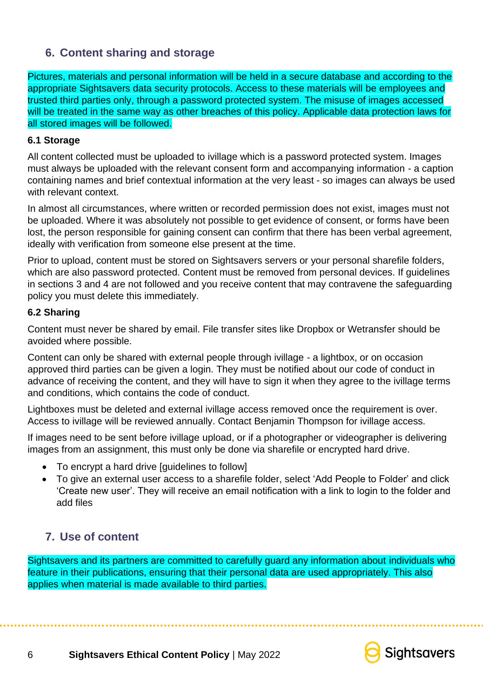# **6. Content sharing and storage**

Pictures, materials and personal information will be held in a secure database and according to the appropriate Sightsavers data security protocols. Access to these materials will be employees and trusted third parties only, through a password protected system. The misuse of images accessed will be treated in the same way as other breaches of this policy. Applicable data protection laws for all stored images will be followed.

#### **6.1 Storage**

All content collected must be uploaded to ivillage which is a password protected system. Images must always be uploaded with the relevant consent form and accompanying information - a caption containing names and brief contextual information at the very least - so images can always be used with relevant context.

In almost all circumstances, where written or recorded permission does not exist, images must not be uploaded. Where it was absolutely not possible to get evidence of consent, or forms have been lost, the person responsible for gaining consent can confirm that there has been verbal agreement, ideally with verification from someone else present at the time.

Prior to upload, content must be stored on Sightsavers servers or your personal sharefile folders, which are also password protected. Content must be removed from personal devices. If guidelines in sections 3 and 4 are not followed and you receive content that may contravene the safeguarding policy you must delete this immediately.

#### **6.2 Sharing**

Content must never be shared by email. File transfer sites like Dropbox or Wetransfer should be avoided where possible.

Content can only be shared with external people through ivillage - a lightbox, or on occasion approved third parties can be given a login. They must be notified about our code of conduct in advance of receiving the content, and they will have to sign it when they agree to the ivillage terms and conditions, which contains the code of conduct.

Lightboxes must be deleted and external ivillage access removed once the requirement is over. Access to ivillage will be reviewed annually. Contact Benjamin Thompson for ivillage access.

If images need to be sent before ivillage upload, or if a photographer or videographer is delivering images from an assignment, this must only be done via sharefile or encrypted hard drive.

- To encrypt a hard drive [guidelines to follow]
- To give an external user access to a sharefile folder, select 'Add People to Folder' and click 'Create new user'. They will receive an email notification with a link to login to the folder and add files

# **7. Use of content**

Sightsavers and its partners are committed to carefully guard any information about individuals who feature in their publications, ensuring that their personal data are used appropriately. This also applies when material is made available to third parties.

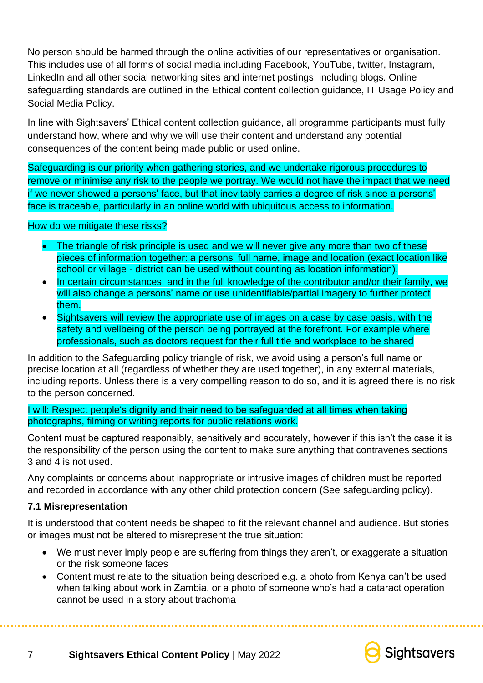No person should be harmed through the online activities of our representatives or organisation. This includes use of all forms of social media including Facebook, YouTube, twitter, Instagram, LinkedIn and all other social networking sites and internet postings, including blogs. Online safeguarding standards are outlined in the Ethical content collection guidance, IT Usage Policy and Social Media Policy.

In line with Sightsavers' Ethical content collection guidance, all programme participants must fully understand how, where and why we will use their content and understand any potential consequences of the content being made public or used online.

Safeguarding is our priority when gathering stories, and we undertake rigorous procedures to remove or minimise any risk to the people we portray. We would not have the impact that we need if we never showed a persons' face, but that inevitably carries a degree of risk since a persons' face is traceable, particularly in an online world with ubiquitous access to information.

#### How do we mitigate these risks?

- The triangle of risk principle is used and we will never give any more than two of these pieces of information together: a persons' full name, image and location (exact location like school or village - district can be used without counting as location information).
- In certain circumstances, and in the full knowledge of the contributor and/or their family, we will also change a persons' name or use unidentifiable/partial imagery to further protect them.
- Sightsavers will review the appropriate use of images on a case by case basis, with the safety and wellbeing of the person being portrayed at the forefront. For example where professionals, such as doctors request for their full title and workplace to be shared

In addition to the Safeguarding policy triangle of risk, we avoid using a person's full name or precise location at all (regardless of whether they are used together), in any external materials, including reports. Unless there is a very compelling reason to do so, and it is agreed there is no risk to the person concerned.

#### I will: Respect people's dignity and their need to be safeguarded at all times when taking photographs, filming or writing reports for public relations work.

Content must be captured responsibly, sensitively and accurately, however if this isn't the case it is the responsibility of the person using the content to make sure anything that contravenes sections 3 and 4 is not used.

Any complaints or concerns about inappropriate or intrusive images of children must be reported and recorded in accordance with any other child protection concern (See safeguarding policy).

# **7.1 Misrepresentation**

It is understood that content needs be shaped to fit the relevant channel and audience. But stories or images must not be altered to misrepresent the true situation:

- We must never imply people are suffering from things they aren't, or exaggerate a situation or the risk someone faces
- Content must relate to the situation being described e.g. a photo from Kenya can't be used when talking about work in Zambia, or a photo of someone who's had a cataract operation cannot be used in a story about trachoma



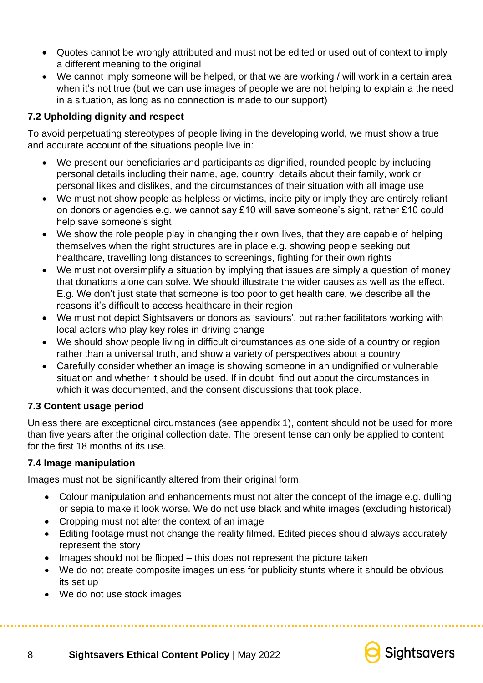- Quotes cannot be wrongly attributed and must not be edited or used out of context to imply a different meaning to the original
- We cannot imply someone will be helped, or that we are working / will work in a certain area when it's not true (but we can use images of people we are not helping to explain a the need in a situation, as long as no connection is made to our support)

# **7.2 Upholding dignity and respect**

To avoid perpetuating stereotypes of people living in the developing world, we must show a true and accurate account of the situations people live in:

- We present our beneficiaries and participants as dignified, rounded people by including personal details including their name, age, country, details about their family, work or personal likes and dislikes, and the circumstances of their situation with all image use
- We must not show people as helpless or victims, incite pity or imply they are entirely reliant on donors or agencies e.g. we cannot say £10 will save someone's sight, rather £10 could help save someone's sight
- We show the role people play in changing their own lives, that they are capable of helping themselves when the right structures are in place e.g. showing people seeking out healthcare, travelling long distances to screenings, fighting for their own rights
- We must not oversimplify a situation by implying that issues are simply a question of money that donations alone can solve. We should illustrate the wider causes as well as the effect. E.g. We don't just state that someone is too poor to get health care, we describe all the reasons it's difficult to access healthcare in their region
- We must not depict Sightsavers or donors as 'saviours', but rather facilitators working with local actors who play key roles in driving change
- We should show people living in difficult circumstances as one side of a country or region rather than a universal truth, and show a variety of perspectives about a country
- Carefully consider whether an image is showing someone in an undignified or vulnerable situation and whether it should be used. If in doubt, find out about the circumstances in which it was documented, and the consent discussions that took place.

# **7.3 Content usage period**

Unless there are exceptional circumstances (see appendix 1), content should not be used for more than five years after the original collection date. The present tense can only be applied to content for the first 18 months of its use.

#### **7.4 Image manipulation**

Images must not be significantly altered from their original form:

- Colour manipulation and enhancements must not alter the concept of the image e.g. dulling or sepia to make it look worse. We do not use black and white images (excluding historical)
- Cropping must not alter the context of an image
- Editing footage must not change the reality filmed. Edited pieces should always accurately represent the story
- Images should not be flipped this does not represent the picture taken
- We do not create composite images unless for publicity stunts where it should be obvious its set up
- We do not use stock images